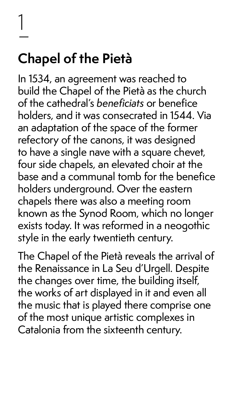1

 $\frac{1}{\sqrt{2}}$ 

# **Chapel of the Pietà**

In 1534, an agreement was reached to build the Chapel of the Pietà as the church of the cathedral's beneficiats or benefice holders, and it was consecrated in 1544. Via an adaptation of the space of the former refectory of the canons, it was designed to have a single nave with a square chevet, four side chapels, an elevated choir at the base and a communal tomb for the benefice holders underground. Over the eastern chapels there was also a meeting room known as the Synod Room, which no longer exists today. It was reformed in a neogothic style in the early twentieth century.

The Chapel of the Pietà reveals the arrival of the Renaissance in La Seu d'Urgell. Despite the changes over time, the building itself, the works of art displayed in it and even all the music that is played there comprise one of the most unique artistic complexes in Catalonia from the sixteenth century.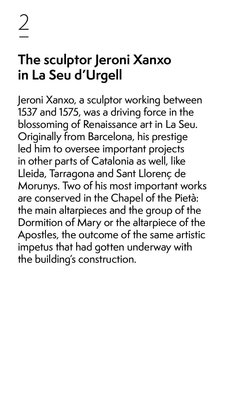# 2 –

### **The sculptor Jeroni Xanxo in La Seu d'Urgell**

Jeroni Xanxo, a sculptor working between 1537 and 1575, was a driving force in the blossoming of Renaissance art in La Seu. Originally from Barcelona, his prestige led him to oversee important projects in other parts of Catalonia as well, like Lleida, Tarragona and Sant Llorenç de Morunys. Two of his most important works are conserved in the Chapel of the Pietà: the main altarpieces and the group of the Dormition of Mary or the altarpiece of the Apostles, the outcome of the same artistic impetus that had gotten underway with the building's construction.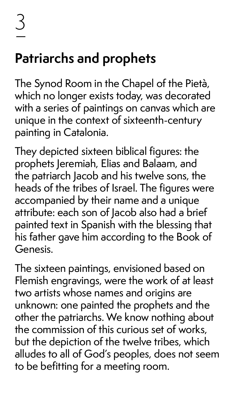# **Patriarchs and prophets**

The Synod Room in the Chapel of the Pietà, which no longer exists today, was decorated with a series of paintings on canvas which are unique in the context of sixteenth-century painting in Catalonia.

They depicted sixteen biblical figures: the prophets Jeremiah, Elias and Balaam, and the patriarch Jacob and his twelve sons, the heads of the tribes of Israel. The figures were accompanied by their name and a unique attribute: each son of Jacob also had a brief painted text in Spanish with the blessing that his father gave him according to the Book of Genesis.

The sixteen paintings, envisioned based on Flemish engravings, were the work of at least two artists whose names and origins are unknown: one painted the prophets and the other the patriarchs. We know nothing about the commission of this curious set of works,

#### but the depiction of the twelve tribes, which alludes to all of God's peoples, does not seem to be befitting for a meeting room.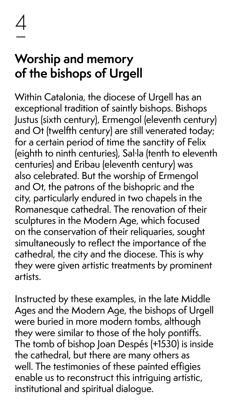

### **Worship and memory of the bishops of Urgell**

Within Catalonia, the diocese of Urgell has an exceptional tradition of saintly bishops. Bishops Justus (sixth century), Ermengol (eleventh century) and Ot (twelfth century) are still venerated today; for a certain period of time the sanctity of Felix (eighth to ninth centuries), Sal·la (tenth to eleventh centuries) and Eribau (eleventh century) was also celebrated. But the worship of Ermengol and Ot, the patrons of the bishopric and the city, particularly endured in two chapels in the Romanesque cathedral. The renovation of their sculptures in the Modern Age, which focused on the conservation of their reliquaries, sought simultaneously to reflect the importance of the cathedral, the city and the diocese. This is why they were given artistic treatments by prominent artists.

Instructed by these examples, in the late Middle Ages and the Modern Age, the bishops of Urgell were buried in more modern tombs, although they were similar to those of the holy pontiffs. The tomb of bishop Joan Despés (+1530) is inside the cathedral, but there are many others as well. The testimonies of these painted effigies enable us to reconstruct this intriguing artistic, institutional and spiritual dialogue.